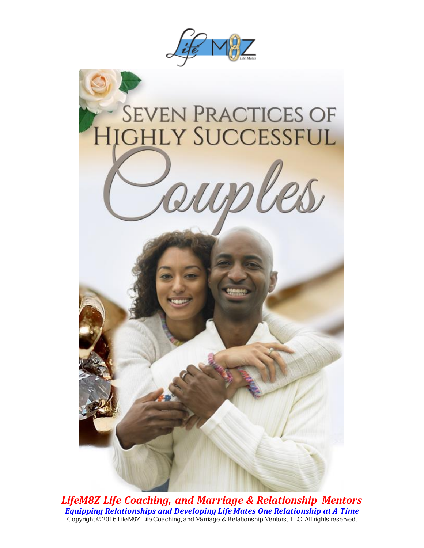





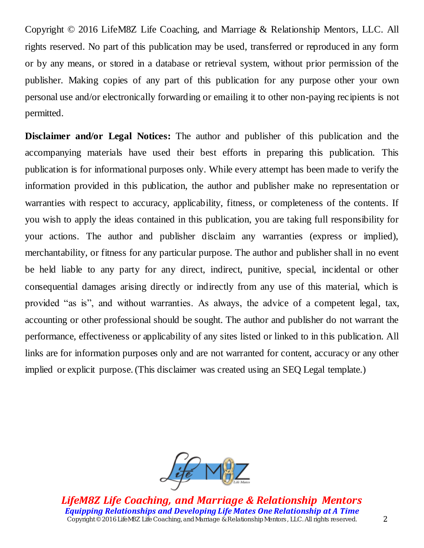Copyright © 2016 LifeM8Z Life Coaching, and Marriage & Relationship Mentors, LLC. All rights reserved. No part of this publication may be used, transferred or reproduced in any form or by any means, or stored in a database or retrieval system, without prior permission of the publisher. Making copies of any part of this publication for any purpose other your own personal use and/or electronically forwarding or emailing it to other non-paying recipients is not permitted.

**Disclaimer and/or Legal Notices:** The author and publisher of this publication and the accompanying materials have used their best efforts in preparing this publication. This publication is for informational purposes only. While every attempt has been made to verify the information provided in this publication, the author and publisher make no representation or warranties with respect to accuracy, applicability, fitness, or completeness of the contents. If you wish to apply the ideas contained in this publication, you are taking full responsibility for your actions. The author and publisher disclaim any warranties (express or implied), merchantability, or fitness for any particular purpose. The author and publisher shall in no event be held liable to any party for any direct, indirect, punitive, special, incidental or other consequential damages arising directly or indirectly from any use of this material, which is provided "as is", and without warranties. As always, the advice of a competent legal, tax, accounting or other professional should be sought. The author and publisher do not warrant the performance, effectiveness or applicability of any sites listed or linked to in this publication. All links are for information purposes only and are not warranted for content, accuracy or any other implied or explicit purpose. (This disclaimer was created using an SEQ Legal template.)

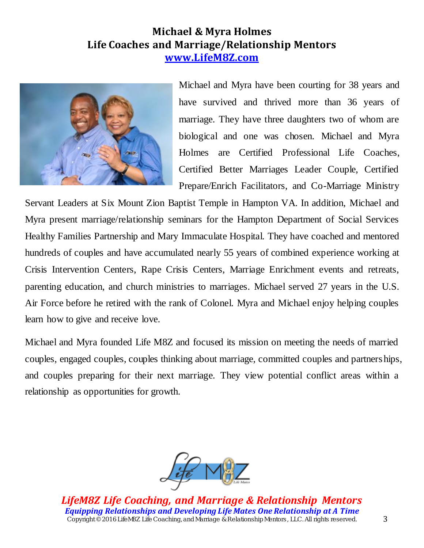# **Michael & Myra Holmes Life Coaches and Marriage/Relationship Mentors [www.LifeM8Z.com](http://www.lifem8z.com/)**



Michael and Myra have been courting for 38 years and have survived and thrived more than 36 years of marriage. They have three daughters two of whom are biological and one was chosen. Michael and Myra Holmes are Certified Professional Life Coaches, Certified Better Marriages Leader Couple, Certified Prepare/Enrich Facilitators, and Co-Marriage Ministry

Servant Leaders at Six Mount Zion Baptist Temple in Hampton VA. In addition, Michael and Myra present marriage/relationship seminars for the Hampton Department of Social Services Healthy Families Partnership and Mary Immaculate Hospital. They have coached and mentored hundreds of couples and have accumulated nearly 55 years of combined experience working at Crisis Intervention Centers, Rape Crisis Centers, Marriage Enrichment events and retreats, parenting education, and church ministries to marriages. Michael served 27 years in the U.S. Air Force before he retired with the rank of Colonel. Myra and Michael enjoy helping couples learn how to give and receive love.

Michael and Myra founded Life M8Z and focused its mission on meeting the needs of married couples, engaged couples, couples thinking about marriage, committed couples and partnerships, and couples preparing for their next marriage. They view potential conflict areas within a relationship as opportunities for growth.

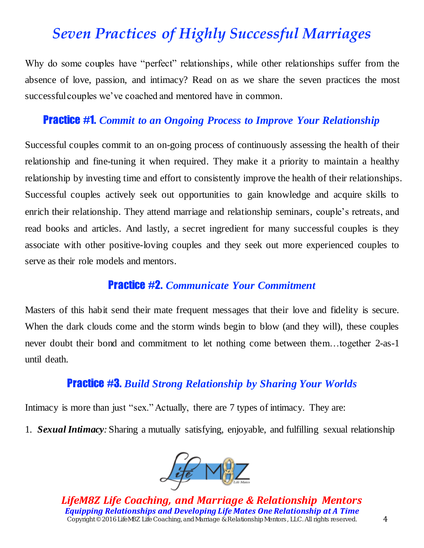# *Seven Practices of Highly Successful Marriages*

Why do some couples have "perfect" relationships, while other relationships suffer from the absence of love, passion, and intimacy? Read on as we share the seven practices the most successful couples we've coached and mentored have in common.

## Practice #1. *Commit to an Ongoing Process to Improve Your Relationship*

Successful couples commit to an on-going process of continuously assessing the health of their relationship and fine-tuning it when required. They make it a priority to maintain a healthy relationship by investing time and effort to consistently improve the health of their relationships. Successful couples actively seek out opportunities to gain knowledge and acquire skills to enrich their relationship. They attend marriage and relationship seminars, couple's retreats, and read books and articles. And lastly, a secret ingredient for many successful couples is they associate with other positive-loving couples and they seek out more experienced couples to serve as their role models and mentors.

#### Practice #2. *Communicate Your Commitment*

Masters of this habit send their mate frequent messages that their love and fidelity is secure. When the dark clouds come and the storm winds begin to blow (and they will), these couples never doubt their bond and commitment to let nothing come between them…together 2-as-1 until death.

## Practice #3. *Build Strong Relationship by Sharing Your Worlds*

Intimacy is more than just "sex." Actually, there are 7 types of intimacy. They are:

1. *Sexual Intimacy:* Sharing a mutually satisfying, enjoyable, and fulfilling sexual relationship

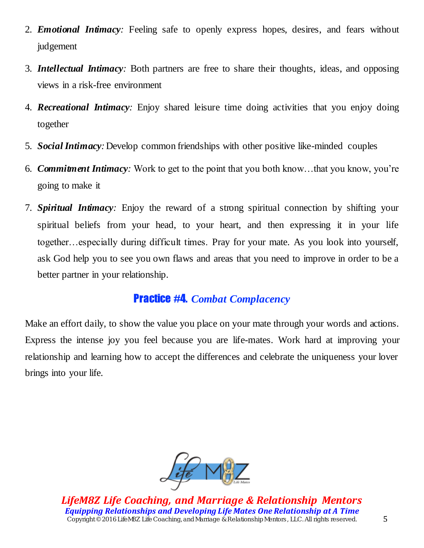- 2. *Emotional Intimacy:* Feeling safe to openly express hopes, desires, and fears without judgement
- 3. *Intellectual Intimacy:* Both partners are free to share their thoughts, ideas, and opposing views in a risk-free environment
- 4. *Recreational Intimacy:* Enjoy shared leisure time doing activities that you enjoy doing together
- 5. *Social Intimacy:*Develop common friendships with other positive like-minded couples
- 6. *Commitment Intimacy:* Work to get to the point that you both know…that you know, you're going to make it
- 7. *Spiritual Intimacy:* Enjoy the reward of a strong spiritual connection by shifting your spiritual beliefs from your head, to your heart, and then expressing it in your life together…especially during difficult times. Pray for your mate. As you look into yourself, ask God help you to see you own flaws and areas that you need to improve in order to be a better partner in your relationship.

# Practice #4. *Combat Complacency*

Make an effort daily, to show the value you place on your mate through your words and actions. Express the intense joy you feel because you are life-mates. Work hard at improving your relationship and learning how to accept the differences and celebrate the uniqueness your lover brings into your life.